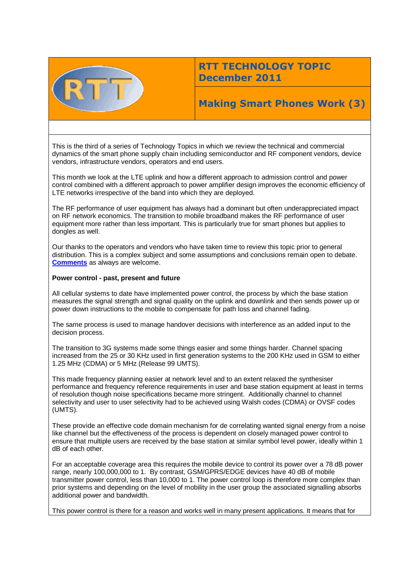

## **RTT TECHNOLOGY TOPIC December 2011**

# **Making Smart Phones Work (3)**

This is the third of a series of Technology Topics in which we review the technical and commercial dynamics of the smart phone supply chain including semiconductor and RF component vendors, device vendors, infrastructure vendors, operators and end users.

This month we look at the LTE uplink and how a different approach to admission control and power control combined with a different approach to power amplifier design improves the economic efficiency of LTE networks irrespective of the band into which they are deployed.

The RF performance of user equipment has always had a dominant but often underappreciated impact on RF network economics. The transition to mobile broadband makes the RF performance of user equipment more rather than less important. This is particularly true for smart phones but applies to dongles as well.

Our thanks to the operators and vendors who have taken time to review this topic prior to general distribution. This is a complex subject and some assumptions and conclusions remain open to debate. **[Comments](mailto:geoff@rttonline.com)** as always are welcome.

## **Power control - past, present and future**

All cellular systems to date have implemented power control, the process by which the base station measures the signal strength and signal quality on the uplink and downlink and then sends power up or power down instructions to the mobile to compensate for path loss and channel fading.

The same process is used to manage handover decisions with interference as an added input to the decision process.

The transition to 3G systems made some things easier and some things harder. Channel spacing increased from the 25 or 30 KHz used in first generation systems to the 200 KHz used in GSM to either 1.25 MHz (CDMA) or 5 MHz (Release 99 UMTS).

This made frequency planning easier at network level and to an extent relaxed the synthesiser performance and frequency reference requirements in user and base station equipment at least in terms of resolution though noise specifications became more stringent. Additionally channel to channel selectivity and user to user selectivity had to be achieved using Walsh codes (CDMA) or OVSF codes (UMTS).

These provide an effective code domain mechanism for de correlating wanted signal energy from a noise like channel but the effectiveness of the process is dependent on closely managed power control to ensure that multiple users are received by the base station at similar symbol level power, ideally within 1 dB of each other.

For an acceptable coverage area this requires the mobile device to control its power over a 78 dB power range, nearly 100,000,000 to 1. By contrast, GSM/GPRS/EDGE devices have 40 dB of mobile transmitter power control, less than 10,000 to 1. The power control loop is therefore more complex than prior systems and depending on the level of mobility in the user group the associated signalling absorbs additional power and bandwidth.

This power control is there for a reason and works well in many present applications. It means that for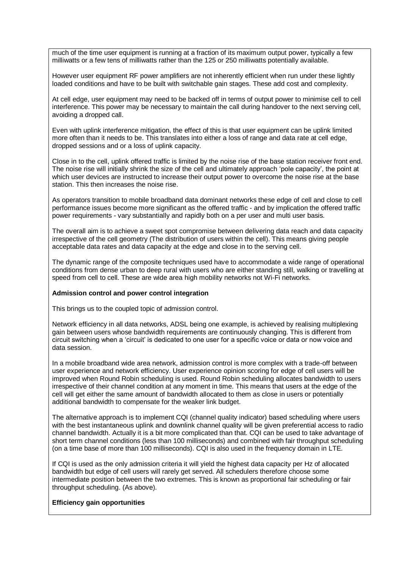much of the time user equipment is running at a fraction of its maximum output power, typically a few milliwatts or a few tens of milliwatts rather than the 125 or 250 milliwatts potentially available.

However user equipment RF power amplifiers are not inherently efficient when run under these lightly loaded conditions and have to be built with switchable gain stages. These add cost and complexity.

At cell edge, user equipment may need to be backed off in terms of output power to minimise cell to cell interference. This power may be necessary to maintain the call during handover to the next serving cell, avoiding a dropped call.

Even with uplink interference mitigation, the effect of this is that user equipment can be uplink limited more often than it needs to be. This translates into either a loss of range and data rate at cell edge, dropped sessions and or a loss of uplink capacity.

Close in to the cell, uplink offered traffic is limited by the noise rise of the base station receiver front end. The noise rise will initially shrink the size of the cell and ultimately approach 'pole capacity', the point at which user devices are instructed to increase their output power to overcome the noise rise at the base station. This then increases the noise rise.

As operators transition to mobile broadband data dominant networks these edge of cell and close to cell performance issues become more significant as the offered traffic - and by implication the offered traffic power requirements - vary substantially and rapidly both on a per user and multi user basis.

The overall aim is to achieve a sweet spot compromise between delivering data reach and data capacity irrespective of the cell geometry (The distribution of users within the cell). This means giving people acceptable data rates and data capacity at the edge and close in to the serving cell.

The dynamic range of the composite techniques used have to accommodate a wide range of operational conditions from dense urban to deep rural with users who are either standing still, walking or travelling at speed from cell to cell. These are wide area high mobility networks not Wi-Fi networks.

## **Admission control and power control integration**

This brings us to the coupled topic of admission control.

Network efficiency in all data networks, ADSL being one example, is achieved by realising multiplexing gain between users whose bandwidth requirements are continuously changing. This is different from circuit switching when a 'circuit' is dedicated to one user for a specific voice or data or now voice and data session.

In a mobile broadband wide area network, admission control is more complex with a trade-off between user experience and network efficiency. User experience opinion scoring for edge of cell users will be improved when Round Robin scheduling is used. Round Robin scheduling allocates bandwidth to users irrespective of their channel condition at any moment in time. This means that users at the edge of the cell will get either the same amount of bandwidth allocated to them as close in users or potentially additional bandwidth to compensate for the weaker link budget.

The alternative approach is to implement CQI (channel quality indicator) based scheduling where users with the best instantaneous uplink and downlink channel quality will be given preferential access to radio channel bandwidth. Actually it is a bit more complicated than that. CQI can be used to take advantage of short term channel conditions (less than 100 milliseconds) and combined with fair throughput scheduling (on a time base of more than 100 milliseconds). CQI is also used in the frequency domain in LTE.

If CQI is used as the only admission criteria it will yield the highest data capacity per Hz of allocated bandwidth but edge of cell users will rarely get served. All schedulers therefore choose some intermediate position between the two extremes. This is known as proportional fair scheduling or fair throughput scheduling. (As above).

## **Efficiency gain opportunities**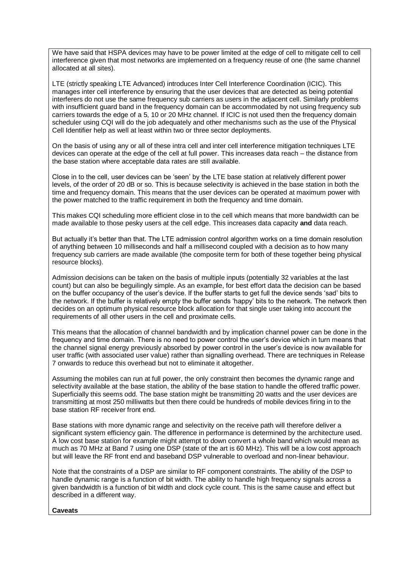We have said that HSPA devices may have to be power limited at the edge of cell to mitigate cell to cell interference given that most networks are implemented on a frequency reuse of one (the same channel allocated at all sites).

LTE (strictly speaking LTE Advanced) introduces Inter Cell Interference Coordination (ICIC). This manages inter cell interference by ensuring that the user devices that are detected as being potential interferers do not use the same frequency sub carriers as users in the adjacent cell. Similarly problems with insufficient guard band in the frequency domain can be accommodated by not using frequency sub carriers towards the edge of a 5, 10 or 20 MHz channel. If ICIC is not used then the frequency domain scheduler using CQI will do the job adequately and other mechanisms such as the use of the Physical Cell Identifier help as well at least within two or three sector deployments.

On the basis of using any or all of these intra cell and inter cell interference mitigation techniques LTE devices can operate at the edge of the cell at full power. This increases data reach – the distance from the base station where acceptable data rates are still available.

Close in to the cell, user devices can be 'seen' by the LTE base station at relatively different power levels, of the order of 20 dB or so. This is because selectivity is achieved in the base station in both the time and frequency domain. This means that the user devices can be operated at maximum power with the power matched to the traffic requirement in both the frequency and time domain.

This makes CQI scheduling more efficient close in to the cell which means that more bandwidth can be made available to those pesky users at the cell edge. This increases data capacity **and** data reach.

But actually it's better than that. The LTE admission control algorithm works on a time domain resolution of anything between 10 milliseconds and half a millisecond coupled with a decision as to how many frequency sub carriers are made available (the composite term for both of these together being physical resource blocks).

Admission decisions can be taken on the basis of multiple inputs (potentially 32 variables at the last count) but can also be beguilingly simple. As an example, for best effort data the decision can be based on the buffer occupancy of the user's device. If the buffer starts to get full the device sends 'sad' bits to the network. If the buffer is relatively empty the buffer sends 'happy' bits to the network. The network then decides on an optimum physical resource block allocation for that single user taking into account the requirements of all other users in the cell and proximate cells.

This means that the allocation of channel bandwidth and by implication channel power can be done in the frequency and time domain. There is no need to power control the user's device which in turn means that the channel signal energy previously absorbed by power control in the user's device is now available for user traffic (with associated user value) rather than signalling overhead. There are techniques in Release 7 onwards to reduce this overhead but not to eliminate it altogether.

Assuming the mobiles can run at full power, the only constraint then becomes the dynamic range and selectivity available at the base station, the ability of the base station to handle the offered traffic power. Superficially this seems odd. The base station might be transmitting 20 watts and the user devices are transmitting at most 250 milliwatts but then there could be hundreds of mobile devices firing in to the base station RF receiver front end.

Base stations with more dynamic range and selectivity on the receive path will therefore deliver a significant system efficiency gain. The difference in performance is determined by the architecture used. A low cost base station for example might attempt to down convert a whole band which would mean as much as 70 MHz at Band 7 using one DSP (state of the art is 60 MHz). This will be a low cost approach but will leave the RF front end and baseband DSP vulnerable to overload and non-linear behaviour.

Note that the constraints of a DSP are similar to RF component constraints. The ability of the DSP to handle dynamic range is a function of bit width. The ability to handle high frequency signals across a given bandwidth is a function of bit width and clock cycle count. This is the same cause and effect but described in a different way.

## **Caveats**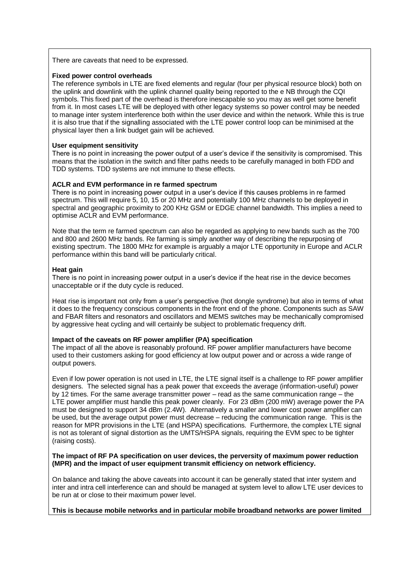There are caveats that need to be expressed.

#### **Fixed power control overheads**

The reference symbols in LTE are fixed elements and regular (four per physical resource block) both on the uplink and downlink with the uplink channel quality being reported to the e NB through the CQI symbols. This fixed part of the overhead is therefore inescapable so you may as well get some benefit from it. In most cases LTE will be deployed with other legacy systems so power control may be needed to manage inter system interference both within the user device and within the network. While this is true it is also true that if the signalling associated with the LTE power control loop can be minimised at the physical layer then a link budget gain will be achieved.

#### **User equipment sensitivity**

There is no point in increasing the power output of a user's device if the sensitivity is compromised. This means that the isolation in the switch and filter paths needs to be carefully managed in both FDD and TDD systems. TDD systems are not immune to these effects.

#### **ACLR and EVM performance in re farmed spectrum**

There is no point in increasing power output in a user's device if this causes problems in re farmed spectrum. This will require 5, 10, 15 or 20 MHz and potentially 100 MHz channels to be deployed in spectral and geographic proximity to 200 KHz GSM or EDGE channel bandwidth. This implies a need to optimise ACLR and EVM performance.

Note that the term re farmed spectrum can also be regarded as applying to new bands such as the 700 and 800 and 2600 MHz bands. Re farming is simply another way of describing the repurposing of existing spectrum. The 1800 MHz for example is arguably a major LTE opportunity in Europe and ACLR performance within this band will be particularly critical.

#### **Heat gain**

There is no point in increasing power output in a user's device if the heat rise in the device becomes unacceptable or if the duty cycle is reduced.

Heat rise is important not only from a user's perspective (hot dongle syndrome) but also in terms of what it does to the frequency conscious components in the front end of the phone. Components such as SAW and FBAR filters and resonators and oscillators and MEMS switches may be mechanically compromised by aggressive heat cycling and will certainly be subject to problematic frequency drift.

#### **Impact of the caveats on RF power amplifier (PA) specification**

The impact of all the above is reasonably profound. RF power amplifier manufacturers have become used to their customers asking for good efficiency at low output power and or across a wide range of output powers.

Even if low power operation is not used in LTE, the LTE signal itself is a challenge to RF power amplifier designers. The selected signal has a peak power that exceeds the average (information-useful) power by 12 times. For the same average transmitter power – read as the same communication range – the LTE power amplifier must handle this peak power cleanly. For 23 dBm (200 mW) average power the PA must be designed to support 34 dBm (2.4W). Alternatively a smaller and lower cost power amplifier can be used, but the average output power must decrease – reducing the communication range. This is the reason for MPR provisions in the LTE (and HSPA) specifications. Furthermore, the complex LTE signal is not as tolerant of signal distortion as the UMTS/HSPA signals, requiring the EVM spec to be tighter (raising costs).

#### **The impact of RF PA specification on user devices, the perversity of maximum power reduction (MPR) and the impact of user equipment transmit efficiency on network efficiency.**

On balance and taking the above caveats into account it can be generally stated that inter system and inter and intra cell interference can and should be managed at system level to allow LTE user devices to be run at or close to their maximum power level.

**This is because mobile networks and in particular mobile broadband networks are power limited**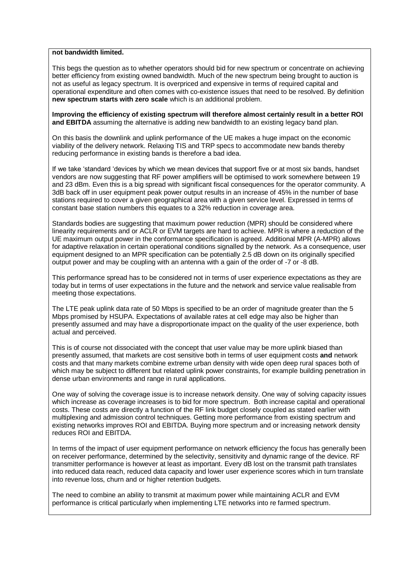#### **not bandwidth limited.**

This begs the question as to whether operators should bid for new spectrum or concentrate on achieving better efficiency from existing owned bandwidth. Much of the new spectrum being brought to auction is not as useful as legacy spectrum. It is overpriced and expensive in terms of required capital and operational expenditure and often comes with co-existence issues that need to be resolved. By definition **new spectrum starts with zero scale** which is an additional problem.

**Improving the efficiency of existing spectrum will therefore almost certainly result in a better ROI and EBITDA** assuming the alternative is adding new bandwidth to an existing legacy band plan.

On this basis the downlink and uplink performance of the UE makes a huge impact on the economic viability of the delivery network. Relaxing TIS and TRP specs to accommodate new bands thereby reducing performance in existing bands is therefore a bad idea.

If we take 'standard 'devices by which we mean devices that support five or at most six bands, handset vendors are now suggesting that RF power amplifiers will be optimised to work somewhere between 19 and 23 dBm. Even this is a big spread with significant fiscal consequences for the operator community. A 3dB back off in user equipment peak power output results in an increase of 45% in the number of base stations required to cover a given geographical area with a given service level. Expressed in terms of constant base station numbers this equates to a 32% reduction in coverage area.

Standards bodies are suggesting that maximum power reduction (MPR) should be considered where linearity requirements and or ACLR or EVM targets are hard to achieve. MPR is where a reduction of the UE maximum output power in the conformance specification is agreed. Additional MPR (A-MPR) allows for adaptive relaxation in certain operational conditions signalled by the network. As a consequence, user equipment designed to an MPR specification can be potentially 2.5 dB down on its originally specified output power and may be coupling with an antenna with a gain of the order of -7 or -8 dB.

This performance spread has to be considered not in terms of user experience expectations as they are today but in terms of user expectations in the future and the network and service value realisable from meeting those expectations.

The LTE peak uplink data rate of 50 Mbps is specified to be an order of magnitude greater than the 5 Mbps promised by HSUPA. Expectations of available rates at cell edge may also be higher than presently assumed and may have a disproportionate impact on the quality of the user experience, both actual and perceived.

This is of course not dissociated with the concept that user value may be more uplink biased than presently assumed, that markets are cost sensitive both in terms of user equipment costs **and** network costs and that many markets combine extreme urban density with wide open deep rural spaces both of which may be subject to different but related uplink power constraints, for example building penetration in dense urban environments and range in rural applications.

One way of solving the coverage issue is to increase network density. One way of solving capacity issues which increase as coverage increases is to bid for more spectrum. Both increase capital and operational costs. These costs are directly a function of the RF link budget closely coupled as stated earlier with multiplexing and admission control techniques. Getting more performance from existing spectrum and existing networks improves ROI and EBITDA. Buying more spectrum and or increasing network density reduces ROI and EBITDA.

In terms of the impact of user equipment performance on network efficiency the focus has generally been on receiver performance, determined by the selectivity, sensitivity and dynamic range of the device. RF transmitter performance is however at least as important. Every dB lost on the transmit path translates into reduced data reach, reduced data capacity and lower user experience scores which in turn translate into revenue loss, churn and or higher retention budgets.

The need to combine an ability to transmit at maximum power while maintaining ACLR and EVM performance is critical particularly when implementing LTE networks into re farmed spectrum.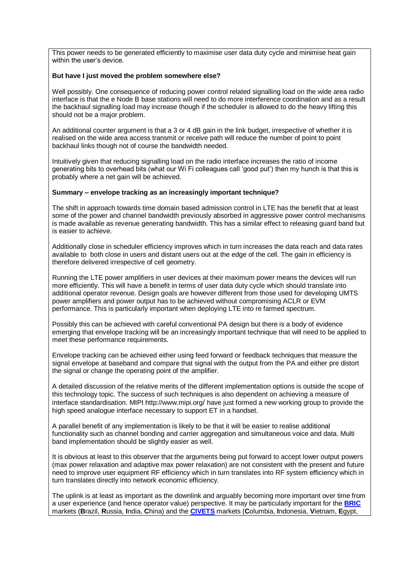This power needs to be generated efficiently to maximise user data duty cycle and minimise heat gain within the user's device.

#### **But have I just moved the problem somewhere else?**

Well possibly. One consequence of reducing power control related signalling load on the wide area radio interface is that the e Node B base stations will need to do more interference coordination and as a result the backhaul signalling load may increase though if the scheduler is allowed to do the heavy lifting this should not be a major problem.

An additional counter argument is that a 3 or 4 dB gain in the link budget, irrespective of whether it is realised on the wide area access transmit or receive path will reduce the number of point to point backhaul links though not of course the bandwidth needed.

Intuitively given that reducing signalling load on the radio interface increases the ratio of income generating bits to overhead bits (what our Wi Fi colleagues call 'good put') then my hunch is that this is probably where a net gain will be achieved.

## **Summary – envelope tracking as an increasingly important technique?**

The shift in approach towards time domain based admission control in LTE has the benefit that at least some of the power and channel bandwidth previously absorbed in aggressive power control mechanisms is made available as revenue generating bandwidth. This has a similar effect to releasing guard band but is easier to achieve.

Additionally close in scheduler efficiency improves which in turn increases the data reach and data rates available to both close in users and distant users out at the edge of the cell. The gain in efficiency is therefore delivered irrespective of cell geometry.

Running the LTE power amplifiers in user devices at their maximum power means the devices will run more efficiently. This will have a benefit in terms of user data duty cycle which should translate into additional operator revenue. Design goals are however different from those used for developing UMTS power amplifiers and power output has to be achieved without compromising ACLR or EVM performance. This is particularly important when deploying LTE into re farmed spectrum.

Possibly this can be achieved with careful conventional PA design but there is a body of evidence emerging that envelope tracking will be an increasingly important technique that will need to be applied to meet these performance requirements.

Envelope tracking can be achieved either using feed forward or feedback techniques that measure the signal envelope at baseband and compare that signal with the output from the PA and either pre distort the signal or change the operating point of the amplifier.

A detailed discussion of the relative merits of the different implementation options is outside the scope of this technology topic. The success of such techniques is also dependent on achieving a measure of interface standardisation. MIPI http://www.mipi.org/ have just formed a new working group to provide the high speed analogue interface necessary to support ET in a handset.

A parallel benefit of any implementation is likely to be that it will be easier to realise additional functionality such as channel bonding and carrier aggregation and simultaneous voice and data. Multi band implementation should be slightly easier as well.

It is obvious at least to this observer that the arguments being put forward to accept lower output powers (max power relaxation and adaptive max power relaxation) are not consistent with the present and future need to improve user equipment RF efficiency which in turn translates into RF system efficiency which in turn translates directly into network economic efficiency.

The uplink is at least as important as the downlink and arguably becoming more important over time from a user experience (and hence operator value) perspective. It may be particularly important for the **[BRIC](http://www.economywatch.com/international-organizations/bric.html)** markets (**B**razil, **R**ussia, **I**ndia, **C**hina) and the **[CIVETS](http://www.guardian.co.uk/business/2011/nov/20/civets-guide)** markets (**C**olumbia, **I**ndonesia, **V**ietnam, **E**gypt,